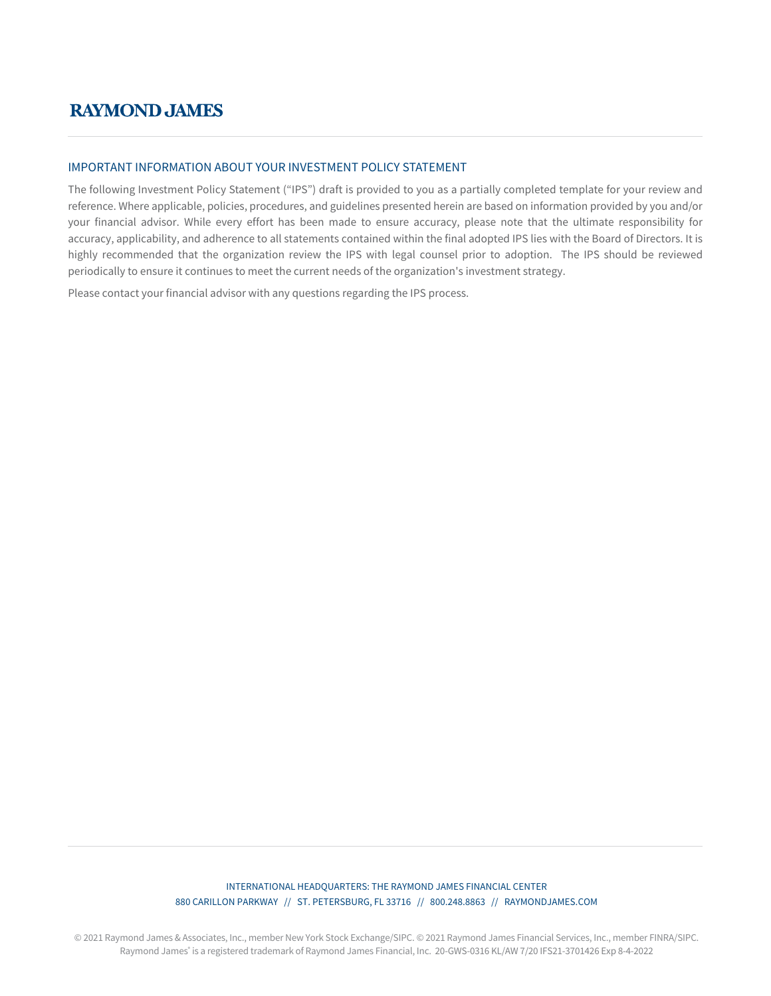# **RAYMOND JAMES**

# IMPORTANT INFORMATION ABOUT YOUR INVESTMENT POLICY STATEMENT

The following Investment Policy Statement ("IPS") draft is provided to you as a partially completed template for your review and reference. Where applicable, policies, procedures, and guidelines presented herein are based on information provided by you and/or your financial advisor. While every effort has been made to ensure accuracy, please note that the ultimate responsibility for accuracy, applicability, and adherence to all statements contained within the final adopted IPS lies with the Board of Directors. It is highly recommended that the organization review the IPS with legal counsel prior to adoption. The IPS should be reviewed periodically to ensure it continues to meet the current needs of the organization's investment strategy.

Please contact your financial advisor with any questions regarding the IPS process.

# INTERNATIONAL HEADQUARTERS: THE RAYMOND JAMES FINANCIAL CENTER 880 CARILLON PARKWAY // ST. PETERSBURG, FL 33716 // 800.248.8863 // RAYMONDJAMES.COM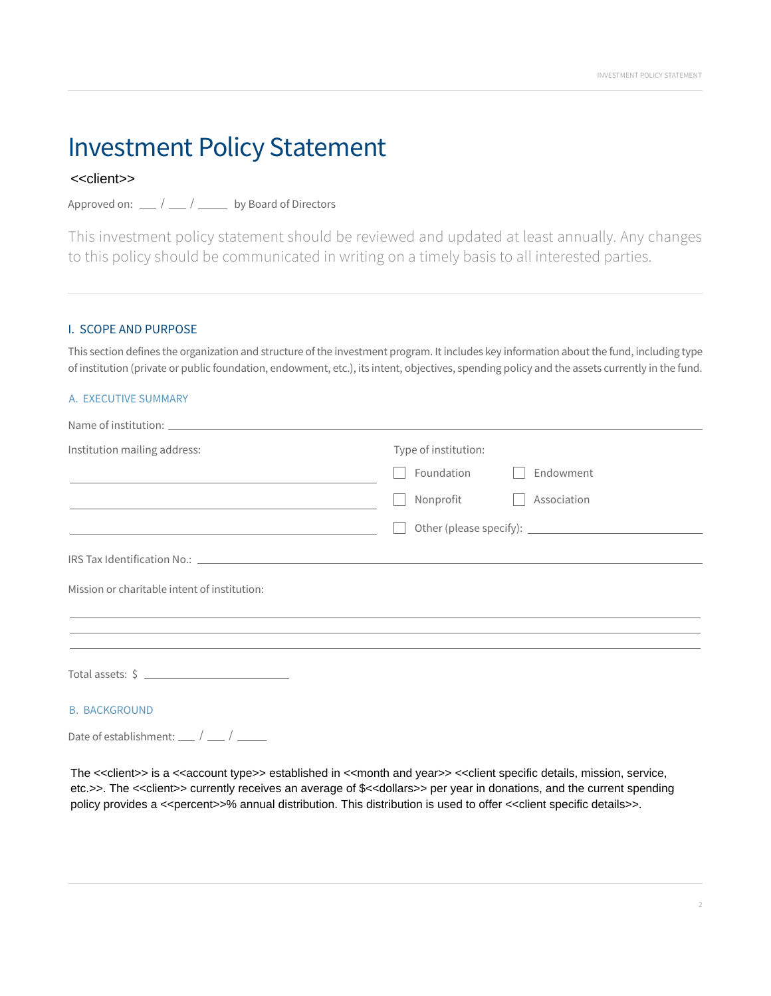# Investment Policy Statement

# <<client>>

Approved on:  $\frac{1}{\sqrt{2}}$  /  $\frac{1}{\sqrt{2}}$  by Board of Directors

This investment policy statement should be reviewed and updated at least annually. Any changes to this policy should be communicated in writing on a timely basis to all interested parties.

# I. SCOPE AND PURPOSE

This section defines the organization and structure of the investment program. It includes key information about the fund, including type of institution (private or public foundation, endowment, etc.), its intent, objectives, spending policy and the assets currently in the fund.

# A. EXECUTIVE SUMMARY

| Institution mailing address:                                                                                     | Type of institution:<br>Foundation<br>Endowment                                  |  |  |
|------------------------------------------------------------------------------------------------------------------|----------------------------------------------------------------------------------|--|--|
|                                                                                                                  |                                                                                  |  |  |
|                                                                                                                  | Association<br>Nonprofit                                                         |  |  |
| and the control of the control of the control of the control of the control of the control of the control of the |                                                                                  |  |  |
|                                                                                                                  |                                                                                  |  |  |
| Mission or charitable intent of institution:                                                                     | ,我们也不能会在这里,我们的人们就会不能会在这里,我们也不能会不能会不能会不能会不能会不能会不能会。""我们的人们,我们也不能会不能会不能会不能会不能会不能会不 |  |  |
|                                                                                                                  |                                                                                  |  |  |
|                                                                                                                  |                                                                                  |  |  |
| <b>B. BACKGROUND</b>                                                                                             |                                                                                  |  |  |

Date of establishment:  $\frac{1}{2}$  /  $\frac{1}{2}$ 

The <<client>> is a <<account type>> established in <<month and year>> <<client specific details, mission, service, etc.>>. The <<client>> currently receives an average of \$<<dollars>> per year in donations, and the current spending policy provides a <<percent>>% annual distribution. This distribution is used to offer <<client specific details>>.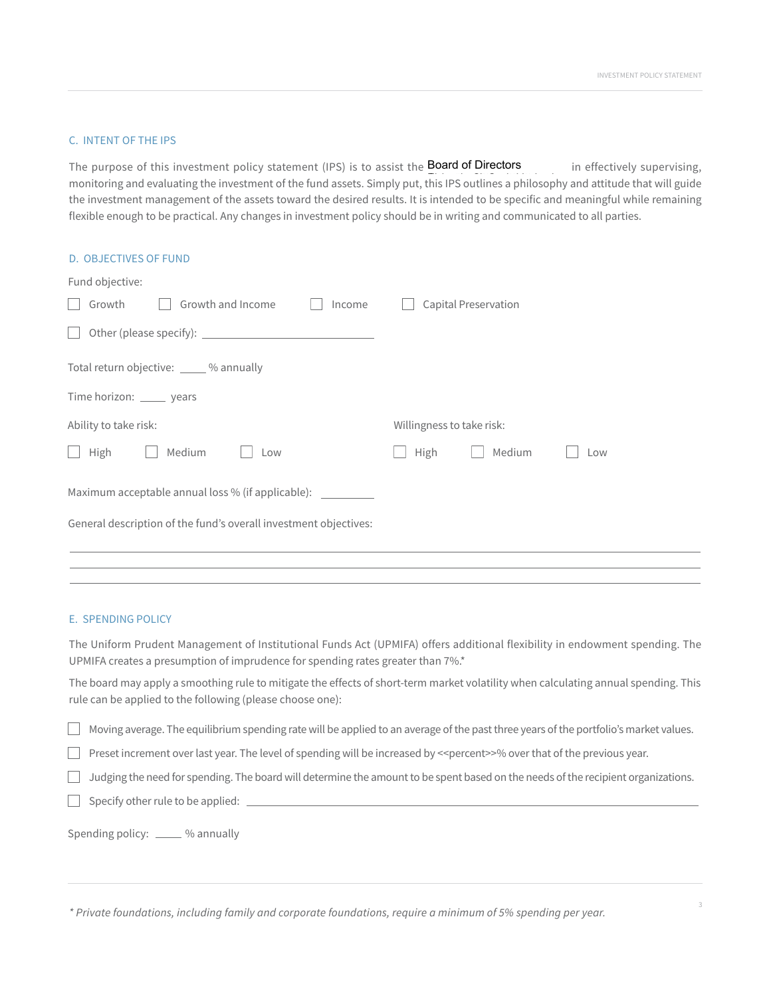# C. INTENT OF THE IPS

The purpose of this investment policy statement (IPS) is to assist the **Board of Directors** in effectively supervising, monitoring and evaluating the investment of the fund assets. Simply put, this IPS outlines a philosophy and attitude that will guide the investment management of the assets toward the desired results. It is intended to be specific and meaningful while remaining flexible enough to be practical. Any changes in investment policy should be in writing and communicated to all parties.

| <b>D. OBJECTIVES OF FUND</b>                                                     |                           |     |  |  |  |
|----------------------------------------------------------------------------------|---------------------------|-----|--|--|--|
| Fund objective:                                                                  |                           |     |  |  |  |
| Growth and Income<br>Growth<br>Income<br>$\vert \ \ \vert$                       | Capital Preservation      |     |  |  |  |
| $\Box$                                                                           |                           |     |  |  |  |
| Total return objective: _____ % annually                                         |                           |     |  |  |  |
| Time horizon: ______ years                                                       |                           |     |  |  |  |
| Ability to take risk:                                                            | Willingness to take risk: |     |  |  |  |
| High<br>Medium<br>$\Box$<br>Low                                                  | High<br>Medium            | Low |  |  |  |
| Maximum acceptable annual loss % (if applicable): ______________________________ |                           |     |  |  |  |
| General description of the fund's overall investment objectives:                 |                           |     |  |  |  |
|                                                                                  |                           |     |  |  |  |

# E. SPENDING POLICY

The Uniform Prudent Management of Institutional Funds Act (UPMIFA) offers additional flexibility in endowment spending. The UPMIFA creates a presumption of imprudence for spending rates greater than 7%.\*

The board may apply a smoothing rule to mitigate the effects of short-term market volatility when calculating annual spending. This rule can be applied to the following (please choose one):

Moving average. The equilibrium spending rate will be applied to an average of the past three years of the portfolio's market values.  $\Box$ 

Preset increment over last year. The level of spending will be increased by <<percent>>% over that of the previous year.

 $\Box$  Judging the need for spending. The board will determine the amount to be spent based on the needs of the recipient organizations.

 $\Box$  Specify other rule to be applied:  $\Box$ 

Spending policy: \_\_\_\_\_ % annually

*\* Private foundations, including family and corporate foundations, require a minimum of 5% spending per year.*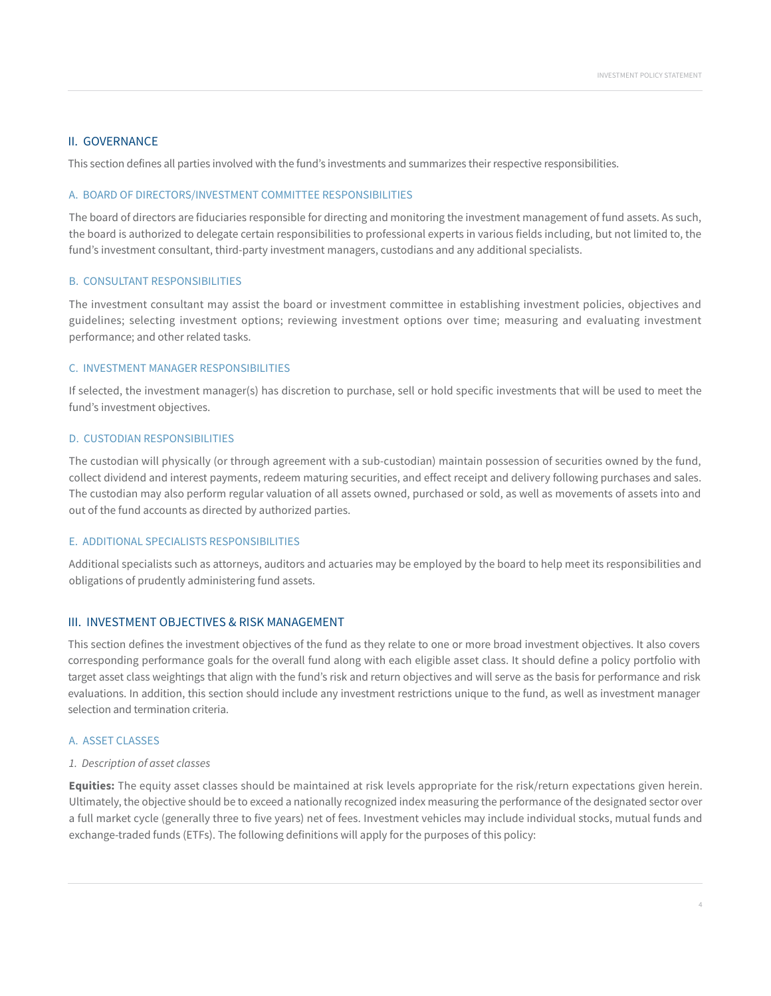# II. GOVERNANCE

This section defines all parties involved with the fund's investments and summarizes their respective responsibilities.

#### A. BOARD OF DIRECTORS/INVESTMENT COMMITTEE RESPONSIBILITIES

The board of directors are fiduciaries responsible for directing and monitoring the investment management of fund assets. As such, the board is authorized to delegate certain responsibilities to professional experts in various fields including, but not limited to, the fund's investment consultant, third-party investment managers, custodians and any additional specialists.

#### B. CONSULTANT RESPONSIBILITIES

The investment consultant may assist the board or investment committee in establishing investment policies, objectives and guidelines; selecting investment options; reviewing investment options over time; measuring and evaluating investment performance; and other related tasks.

#### C. INVESTMENT MANAGER RESPONSIBILITIES

If selected, the investment manager(s) has discretion to purchase, sell or hold specific investments that will be used to meet the fund's investment objectives.

#### D. CUSTODIAN RESPONSIBILITIES

The custodian will physically (or through agreement with a sub-custodian) maintain possession of securities owned by the fund, collect dividend and interest payments, redeem maturing securities, and effect receipt and delivery following purchases and sales. The custodian may also perform regular valuation of all assets owned, purchased or sold, as well as movements of assets into and out of the fund accounts as directed by authorized parties.

## E. ADDITIONAL SPECIALISTS RESPONSIBILITIES

Additional specialists such as attorneys, auditors and actuaries may be employed by the board to help meet its responsibilities and obligations of prudently administering fund assets.

# III. INVESTMENT OBJECTIVES & RISK MANAGEMENT

This section defines the investment objectives of the fund as they relate to one or more broad investment objectives. It also covers corresponding performance goals for the overall fund along with each eligible asset class. It should define a policy portfolio with target asset class weightings that align with the fund's risk and return objectives and will serve as the basis for performance and risk evaluations. In addition, this section should include any investment restrictions unique to the fund, as well as investment manager selection and termination criteria.

#### A. ASSET CLASSES

#### *1. Description of asset classes*

**Equities:** The equity asset classes should be maintained at risk levels appropriate for the risk/return expectations given herein. Ultimately, the objective should be to exceed a nationally recognized index measuring the performance of the designated sector over a full market cycle (generally three to five years) net of fees. Investment vehicles may include individual stocks, mutual funds and exchange-traded funds (ETFs). The following definitions will apply for the purposes of this policy: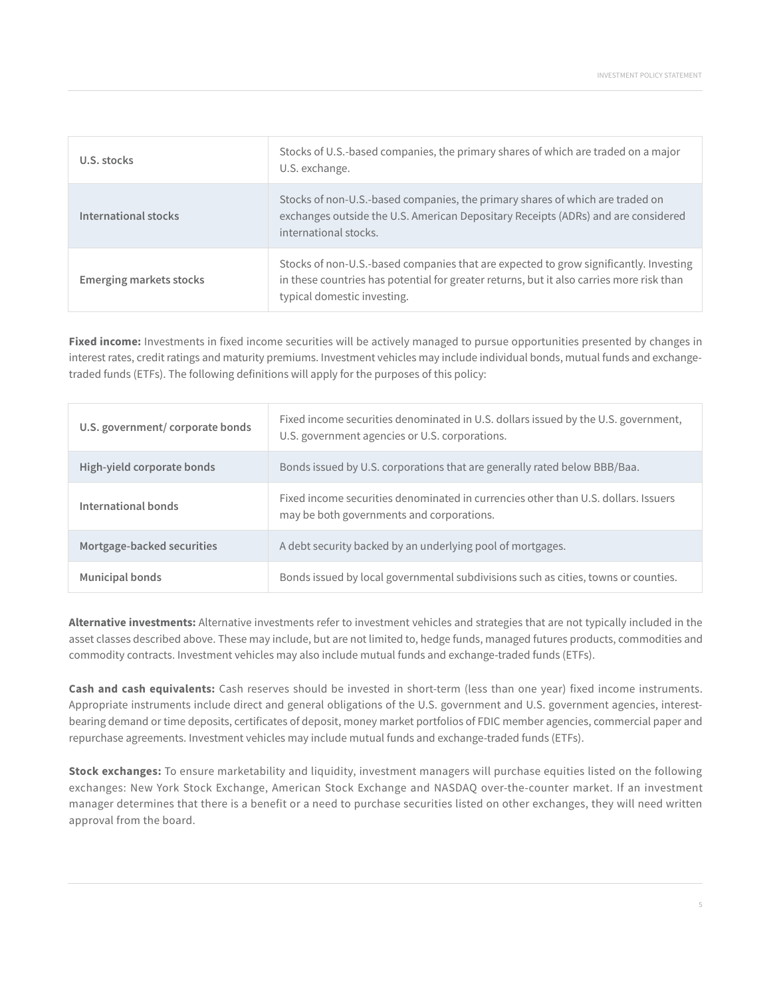| U.S. stocks                    | Stocks of U.S.-based companies, the primary shares of which are traded on a major<br>U.S. exchange.                                                                                                              |
|--------------------------------|------------------------------------------------------------------------------------------------------------------------------------------------------------------------------------------------------------------|
| International stocks           | Stocks of non-U.S.-based companies, the primary shares of which are traded on<br>exchanges outside the U.S. American Depositary Receipts (ADRs) and are considered<br>international stocks.                      |
| <b>Emerging markets stocks</b> | Stocks of non-U.S.-based companies that are expected to grow significantly. Investing<br>in these countries has potential for greater returns, but it also carries more risk than<br>typical domestic investing. |

**Fixed income:** Investments in fixed income securities will be actively managed to pursue opportunities presented by changes in interest rates, credit ratings and maturity premiums. Investment vehicles may include individual bonds, mutual funds and exchangetraded funds (ETFs). The following definitions will apply for the purposes of this policy:

| U.S. government/corporate bonds | Fixed income securities denominated in U.S. dollars issued by the U.S. government,<br>U.S. government agencies or U.S. corporations. |
|---------------------------------|--------------------------------------------------------------------------------------------------------------------------------------|
| High-yield corporate bonds      | Bonds issued by U.S. corporations that are generally rated below BBB/Baa.                                                            |
| International bonds             | Fixed income securities denominated in currencies other than U.S. dollars, Issuers<br>may be both governments and corporations.      |
| Mortgage-backed securities      | A debt security backed by an underlying pool of mortgages.                                                                           |
| <b>Municipal bonds</b>          | Bonds issued by local governmental subdivisions such as cities, towns or counties.                                                   |

**Alternative investments:** Alternative investments refer to investment vehicles and strategies that are not typically included in the asset classes described above. These may include, but are not limited to, hedge funds, managed futures products, commodities and commodity contracts. Investment vehicles may also include mutual funds and exchange-traded funds (ETFs).

**Cash and cash equivalents:** Cash reserves should be invested in short-term (less than one year) fixed income instruments. Appropriate instruments include direct and general obligations of the U.S. government and U.S. government agencies, interestbearing demand or time deposits, certificates of deposit, money market portfolios of FDIC member agencies, commercial paper and repurchase agreements. Investment vehicles may include mutual funds and exchange-traded funds (ETFs).

**Stock exchanges:** To ensure marketability and liquidity, investment managers will purchase equities listed on the following exchanges: New York Stock Exchange, American Stock Exchange and NASDAQ over-the-counter market. If an investment manager determines that there is a benefit or a need to purchase securities listed on other exchanges, they will need written approval from the board.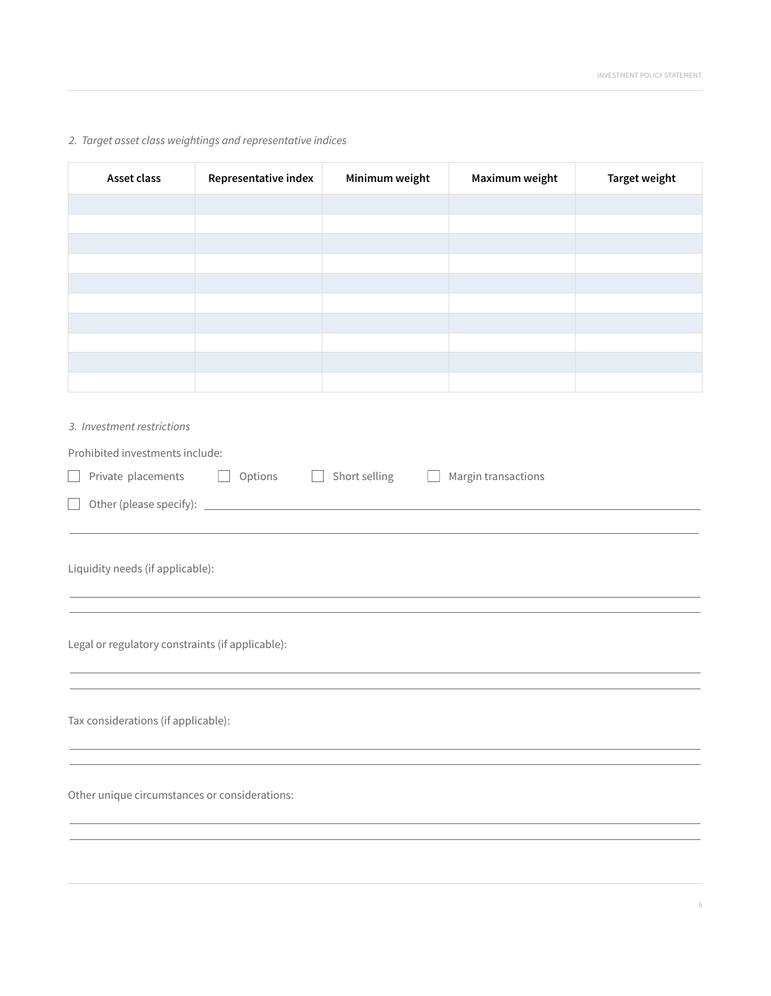# *2. Target asset class weightings and representative indices*

| Asset class                                      | Representative index | Minimum weight                | Maximum weight      | <b>Target weight</b> |  |
|--------------------------------------------------|----------------------|-------------------------------|---------------------|----------------------|--|
|                                                  |                      |                               |                     |                      |  |
|                                                  |                      |                               |                     |                      |  |
|                                                  |                      |                               |                     |                      |  |
|                                                  |                      |                               |                     |                      |  |
|                                                  |                      |                               |                     |                      |  |
|                                                  |                      |                               |                     |                      |  |
|                                                  |                      |                               |                     |                      |  |
|                                                  |                      |                               |                     |                      |  |
|                                                  |                      |                               |                     |                      |  |
| 3. Investment restrictions                       |                      |                               |                     |                      |  |
| Prohibited investments include:                  |                      |                               |                     |                      |  |
| Private placements<br>$\overline{\phantom{0}}$   | Options<br>$\Box$    | Short selling<br>$\mathbf{L}$ | Margin transactions |                      |  |
| П                                                |                      |                               |                     |                      |  |
|                                                  |                      |                               |                     |                      |  |
|                                                  |                      |                               |                     |                      |  |
| Liquidity needs (if applicable):                 |                      |                               |                     |                      |  |
|                                                  |                      |                               |                     |                      |  |
|                                                  |                      |                               |                     |                      |  |
| Legal or regulatory constraints (if applicable): |                      |                               |                     |                      |  |
|                                                  |                      |                               |                     |                      |  |
|                                                  |                      |                               |                     |                      |  |
| Tax considerations (if applicable):              |                      |                               |                     |                      |  |
|                                                  |                      |                               |                     |                      |  |
|                                                  |                      |                               |                     |                      |  |
| Other unique circumstances or considerations:    |                      |                               |                     |                      |  |
|                                                  |                      |                               |                     |                      |  |
|                                                  |                      |                               |                     |                      |  |
|                                                  |                      |                               |                     |                      |  |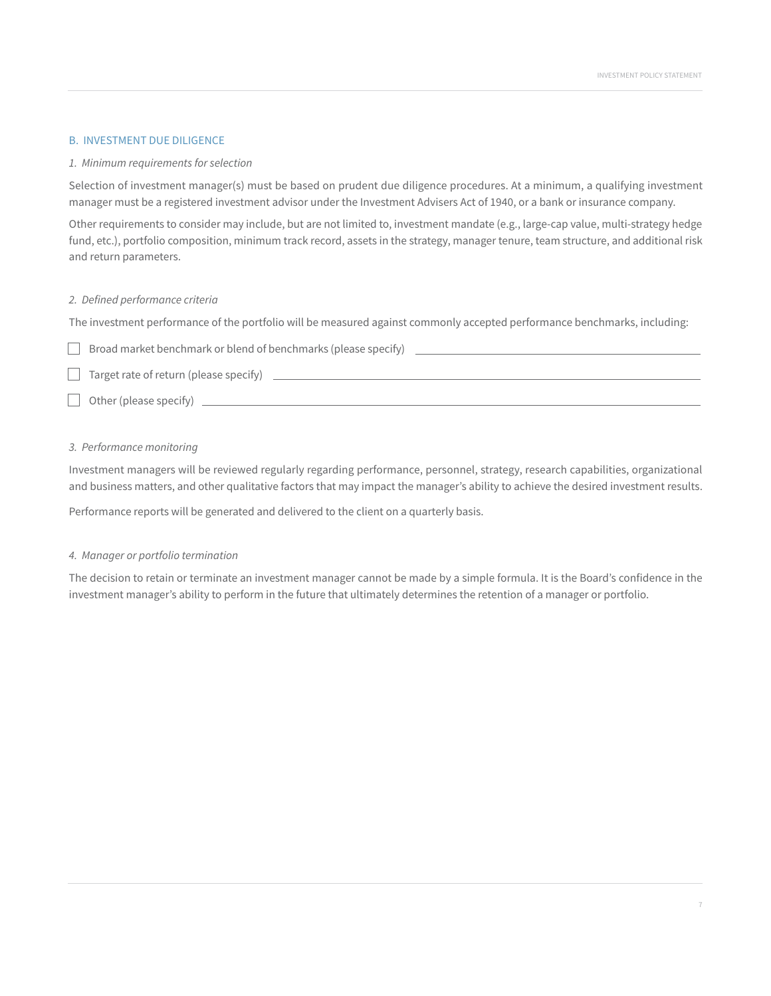## B. INVESTMENT DUE DILIGENCE

#### *1. Minimum requirements for selection*

Selection of investment manager(s) must be based on prudent due diligence procedures. At a minimum, a qualifying investment manager must be a registered investment advisor under the Investment Advisers Act of 1940, or a bank or insurance company.

Other requirements to consider may include, but are not limited to, investment mandate (e.g., large-cap value, multi-strategy hedge fund, etc.), portfolio composition, minimum track record, assets in the strategy, manager tenure, team structure, and additional risk and return parameters.

#### *2. Defined performance criteria*

The investment performance of the portfolio will be measured against commonly accepted performance benchmarks, including:

| Broad market benchmark or blend of benchmarks (please specify) |
|----------------------------------------------------------------|
| Target rate of return (please specify)                         |
| Other (please specify)                                         |

#### *3. Performance monitoring*

Investment managers will be reviewed regularly regarding performance, personnel, strategy, research capabilities, organizational and business matters, and other qualitative factors that may impact the manager's ability to achieve the desired investment results.

Performance reports will be generated and delivered to the client on a quarterly basis.

#### *4. Manager or portfolio termination*

The decision to retain or terminate an investment manager cannot be made by a simple formula. It is the Board's confidence in the investment manager's ability to perform in the future that ultimately determines the retention of a manager or portfolio.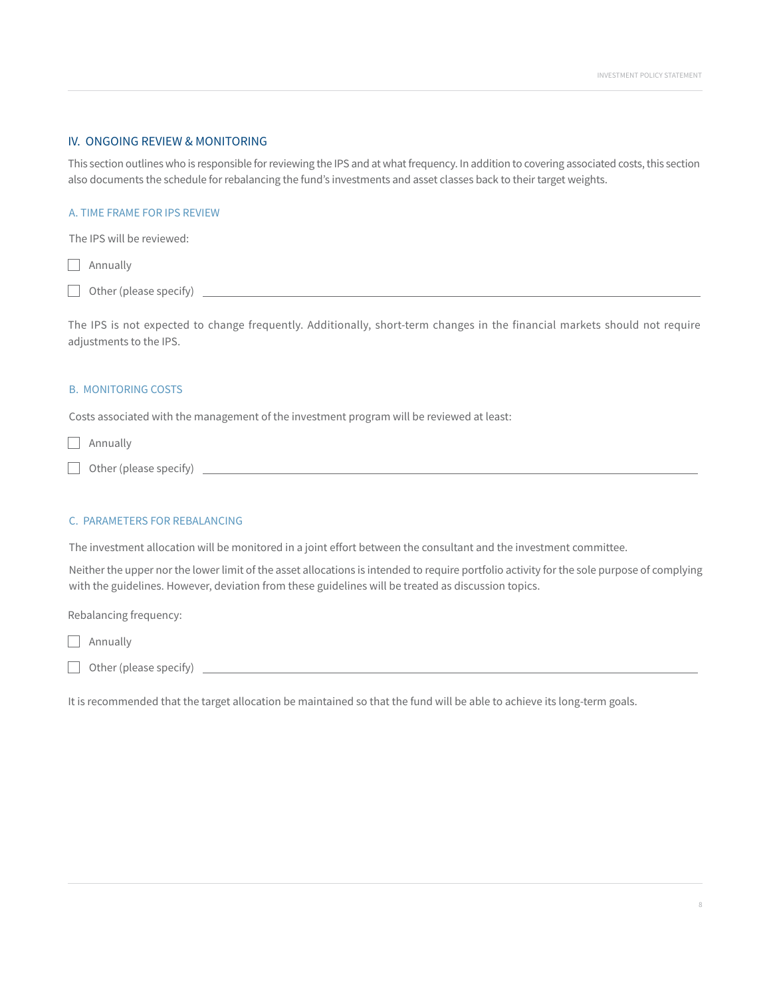# IV. ONGOING REVIEW & MONITORING

This section outlines who is responsible for reviewing the IPS and at what frequency. In addition to covering associated costs, this section also documents the schedule for rebalancing the fund's investments and asset classes back to their target weights.

# A. TIME FRAME FOR IPS REVIEW

The IPS will be reviewed:

Annually

Other (please specify)

The IPS is not expected to change frequently. Additionally, short-term changes in the financial markets should not require adjustments to the IPS.

## B. MONITORING COSTS

Costs associated with the management of the investment program will be reviewed at least:

**Annually** 

#### C. PARAMETERS FOR REBALANCING

The investment allocation will be monitored in a joint effort between the consultant and the investment committee.

Neither the upper nor the lower limit of the asset allocations is intended to require portfolio activity for the sole purpose of complying with the guidelines. However, deviation from these guidelines will be treated as discussion topics.

Rebalancing frequency:

- **Annually**
- Other (please specify)

It is recommended that the target allocation be maintained so that the fund will be able to achieve its long-term goals.

Other (please specify)